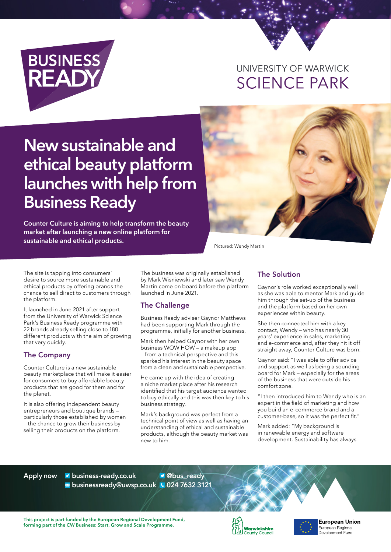

## UNIVERSITY OF WARWICK **SCIENCE PARK**

# **New sustainable and ethical beauty platform launches with help from Business Ready**

**Counter Culture is aiming to help transform the beauty market after launching a new online platform for sustainable and ethical products.**



Pictured: Wendy Martin

The site is tapping into consumers' desire to source more sustainable and ethical products by offering brands the chance to sell direct to customers through the platform.

It launched in June 2021 after support from the University of Warwick Science Park's Business Ready programme with 22 brands already selling close to 180 different products with the aim of growing that very quickly.

#### The Company

Counter Culture is a new sustainable beauty marketplace that will make it easier for consumers to buy affordable beauty products that are good for them and for the planet.

It is also offering independent beauty entrepreneurs and boutique brands – particularly those established by women – the chance to grow their business by selling their products on the platform.

The business was originally established by Mark Wisniewski and later saw Wendy Martin come on board before the platform launched in June 2021.

#### The Challenge

Business Ready adviser Gaynor Matthews had been supporting Mark through the programme, initially for another business.

Mark then helped Gaynor with her own business WOW HOW – a makeup app – from a technical perspective and this sparked his interest in the beauty space from a clean and sustainable perspective.

He came up with the idea of creating a niche market place after his research identified that his target audience wanted to buy ethically and this was then key to his business strategy.

Mark's background was perfect from a technical point of view as well as having an understanding of ethical and sustainable products, although the beauty market was new to him.

### The Solution

Gaynor's role worked exceptionally well as she was able to mentor Mark and guide him through the set-up of the business and the platform based on her own experiences within beauty.

She then connected him with a key contact, Wendy – who has nearly 30 years' experience in sales, marketing and e-commerce and, after they hit it off straight away, Counter Culture was born.

Gaynor said: "I was able to offer advice and support as well as being a sounding board for Mark – especially for the areas of the business that were outside his comfort zone.

"I then introduced him to Wendy who is an expert in the field of marketing and how you build an e-commerce brand and a customer-base, so it was the perfect fit."

Mark added: "My background is in renewable energy and software development. Sustainability has always

**Apply now business-ready.co.uk businessready@uwsp.co.uk 024 7632 3121 @bus\_ready**

**This project is part funded by the European Regional Development Fund, forming part of the CW Business: Start, Grow and Scale Programme.**